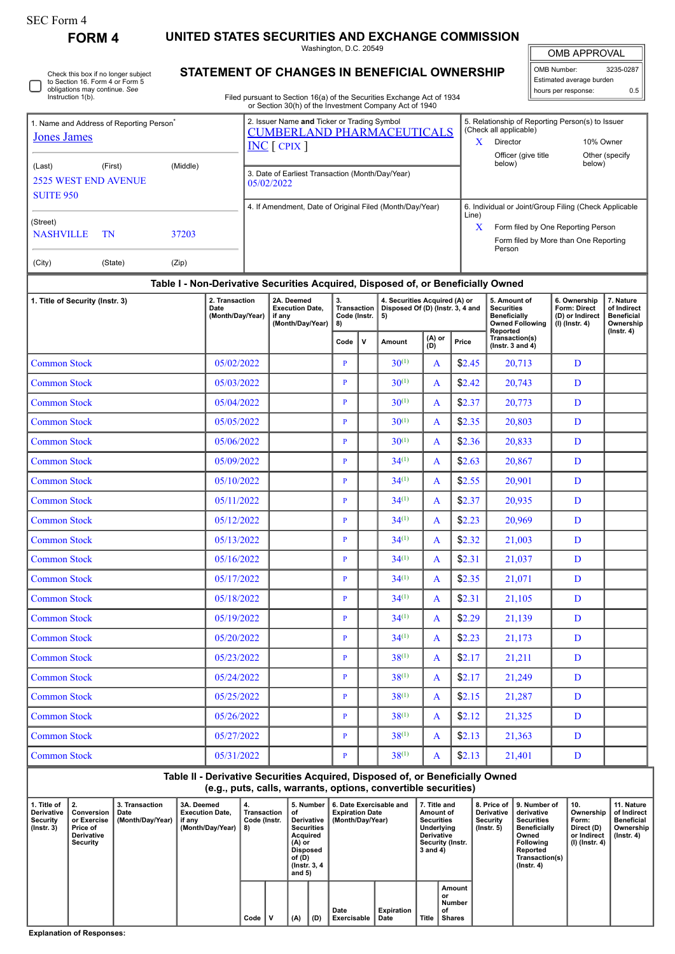⊓

1. Name and Address of

**FORM 4 UNITED STATES SECURITIES AND EXCHANGE COMMISSION**

Washington, D.C. 20549

OMB APPROVAL

 $\mathbb{I}$ 

 $0.5$ 

| Check this box if no longer subject<br>to Section 16. Form 4 or Form 5 | <b>STATEMENT OF CHANGES IN BENEFICIAL OWNERSHIP</b> | OMB Number:<br>Estimated average burden                                                                                          |                                    | 3235-0287                                                     |                |     |
|------------------------------------------------------------------------|-----------------------------------------------------|----------------------------------------------------------------------------------------------------------------------------------|------------------------------------|---------------------------------------------------------------|----------------|-----|
| obligations may continue. See<br>Instruction 1(b).                     |                                                     | Filed pursuant to Section 16(a) of the Securities Exchange Act of 1934<br>or Section 30(h) of the Investment Company Act of 1940 |                                    | hours per response:                                           |                | 0.5 |
| ime and Address of Reporting Person <sup>®</sup><br>es James           |                                                     | 2. Issuer Name and Ticker or Trading Symbol<br><b>CUMBERLAND PHARMACEUTICALS</b>                                                 | (Check all applicable)<br>Director | 5. Relationship of Reporting Person(s) to Issuer<br>10% Owner |                |     |
|                                                                        |                                                     | $NC$ [ CPIX ]                                                                                                                    | Officer (give title                |                                                               | Other (specify |     |

| <b>Jones James</b>                                        |         |          | CUMBERLAND PHARMACEUTICALS<br>$INC$ $[$ CPIX $]$               | x          | $\sim$<br>Director                                                                                                                             | 10% Owner                |  |
|-----------------------------------------------------------|---------|----------|----------------------------------------------------------------|------------|------------------------------------------------------------------------------------------------------------------------------------------------|--------------------------|--|
| (Last)<br><b>2525 WEST END AVENUE</b><br><b>SUITE 950</b> | (First) | (Middle) | 3. Date of Earliest Transaction (Month/Day/Year)<br>05/02/2022 |            | Officer (give title<br>below)                                                                                                                  | Other (specify<br>below) |  |
| (Street)<br><b>NASHVILLE</b>                              | TN      | 37203    | 4. If Amendment, Date of Original Filed (Month/Day/Year)       | Line)<br>x | 6. Individual or Joint/Group Filing (Check Applicable<br>Form filed by One Reporting Person<br>Form filed by More than One Reporting<br>Person |                          |  |
| (City)                                                    | (State) | (Zip)    |                                                                |            |                                                                                                                                                |                          |  |

## **Table I - Non-Derivative Securities Acquired, Disposed of, or Beneficially Owned**

| 1. Title of Security (Instr. 3) | 2. Transaction<br>Date<br>(Month/Day/Year) | 2A. Deemed<br><b>Execution Date.</b><br>if any<br>(Month/Day/Year) | 3.<br><b>Transaction</b><br>Code (Instr.<br>8) |             | 4. Securities Acquired (A) or<br>Disposed Of (D) (Instr. 3, 4 and<br>5) |               |        | 5. Amount of<br><b>Securities</b><br><b>Beneficially</b><br><b>Owned Following</b><br>Reported | 6. Ownership<br>Form: Direct<br>(D) or Indirect<br>$(I)$ (Instr. 4) | 7. Nature<br>of Indirect<br><b>Beneficial</b><br>Ownership |
|---------------------------------|--------------------------------------------|--------------------------------------------------------------------|------------------------------------------------|-------------|-------------------------------------------------------------------------|---------------|--------|------------------------------------------------------------------------------------------------|---------------------------------------------------------------------|------------------------------------------------------------|
|                                 |                                            |                                                                    | Code                                           | $\mathbf v$ | Amount                                                                  | (A) or<br>(D) | Price  | Transaction(s)<br>$($ lnstr. 3 and 4 $)$                                                       |                                                                     | $($ Instr. 4 $)$                                           |
| <b>Common Stock</b>             | 05/02/2022                                 |                                                                    | $\mathbf{P}$                                   |             | $30^{(1)}$                                                              | A             | \$2.45 | 20,713                                                                                         | D                                                                   |                                                            |
| <b>Common Stock</b>             | 05/03/2022                                 |                                                                    | P                                              |             | $30^{(1)}$                                                              | A             | \$2.42 | 20,743                                                                                         | D                                                                   |                                                            |
| <b>Common Stock</b>             | 05/04/2022                                 |                                                                    | $\mathbf{P}$                                   |             | $30^{(1)}$                                                              | A             | \$2.37 | 20,773                                                                                         | D                                                                   |                                                            |
| <b>Common Stock</b>             | 05/05/2022                                 |                                                                    | $\mathbf{P}$                                   |             | $30^{(1)}$                                                              | $\mathsf{A}$  | \$2.35 | 20.803                                                                                         | D                                                                   |                                                            |
| <b>Common Stock</b>             | 05/06/2022                                 |                                                                    | $\mathbf{P}$                                   |             | $30^{(1)}$                                                              | A             | \$2.36 | 20,833                                                                                         | D                                                                   |                                                            |
| <b>Common Stock</b>             | 05/09/2022                                 |                                                                    | $\mathbf{P}$                                   |             | $34^{(1)}$                                                              | A             | \$2.63 | 20,867                                                                                         | D                                                                   |                                                            |
| <b>Common Stock</b>             | 05/10/2022                                 |                                                                    | P                                              |             | $34^{(1)}$                                                              | A             | \$2.55 | 20,901                                                                                         | D                                                                   |                                                            |
| <b>Common Stock</b>             | 05/11/2022                                 |                                                                    | $\mathbf{P}$                                   |             | $34^{(1)}$                                                              | A             | \$2.37 | 20,935                                                                                         | D                                                                   |                                                            |
| <b>Common Stock</b>             | 05/12/2022                                 |                                                                    | $\mathbf{P}$                                   |             | $34^{(1)}$                                                              | $\mathbf{A}$  | \$2.23 | 20,969                                                                                         | D                                                                   |                                                            |
| <b>Common Stock</b>             | 05/13/2022                                 |                                                                    | $\mathbf{P}$                                   |             | $34^{(1)}$                                                              | A             | \$2.32 | 21,003                                                                                         | D                                                                   |                                                            |
| <b>Common Stock</b>             | 05/16/2022                                 |                                                                    | $\mathbf{P}$                                   |             | $34^{(1)}$                                                              | A             | \$2.31 | 21,037                                                                                         | D                                                                   |                                                            |
| <b>Common Stock</b>             | 05/17/2022                                 |                                                                    | $\mathbf{P}$                                   |             | $34^{(1)}$                                                              | A             | \$2.35 | 21,071                                                                                         | D                                                                   |                                                            |
| <b>Common Stock</b>             | 05/18/2022                                 |                                                                    | $\mathbf{P}$                                   |             | $34^{(1)}$                                                              | A             | \$2.31 | 21,105                                                                                         | D                                                                   |                                                            |
| <b>Common Stock</b>             | 05/19/2022                                 |                                                                    | $\mathbf{P}$                                   |             | $34^{(1)}$                                                              | $\mathbf{A}$  | \$2.29 | 21,139                                                                                         | D                                                                   |                                                            |
| <b>Common Stock</b>             | 05/20/2022                                 |                                                                    | $\mathbf{P}$                                   |             | $34^{(1)}$                                                              | A             | \$2.23 | 21,173                                                                                         | D                                                                   |                                                            |
| <b>Common Stock</b>             | 05/23/2022                                 |                                                                    | $\mathbf{P}$                                   |             | $38^{(1)}$                                                              | A             | \$2.17 | 21,211                                                                                         | D                                                                   |                                                            |
| <b>Common Stock</b>             | 05/24/2022                                 |                                                                    | $\mathbf{P}$                                   |             | $38^{(1)}$                                                              | A             | \$2.17 | 21,249                                                                                         | D                                                                   |                                                            |
| <b>Common Stock</b>             | 05/25/2022                                 |                                                                    | $\mathbf{P}$                                   |             | $38^{(1)}$                                                              | A             | \$2.15 | 21,287                                                                                         | D                                                                   |                                                            |
| <b>Common Stock</b>             | 05/26/2022                                 |                                                                    | $\mathbf{P}$                                   |             | $38^{(1)}$                                                              | A             | \$2.12 | 21,325                                                                                         | D                                                                   |                                                            |
| <b>Common Stock</b>             | 05/27/2022                                 |                                                                    | P                                              |             | $38^{(1)}$                                                              | $\mathbf{A}$  | \$2.13 | 21,363                                                                                         | D                                                                   |                                                            |
| <b>Common Stock</b>             | 05/31/2022                                 |                                                                    | $\mathbf{P}$                                   |             | $38^{(1)}$                                                              | A             | \$2.13 | 21,401                                                                                         | D                                                                   |                                                            |

## **Table II - Derivative Securities Acquired, Disposed of, or Beneficially Owned (e.g., puts, calls, warrants, options, convertible securities)**

| l. Title of<br><b>Derivative</b><br>Security<br>$($ lnstr. 3 $)$ | Conversion<br>or Exercise<br>Price of<br><b>Derivative</b><br>Security | 3. Transaction<br>Date<br>(Month/Day/Year)   if any | 3A. Deemed<br><b>Execution Date.</b><br>(Month/Dav/Year) | 4.<br>Transaction<br>Code (Instr.<br>8) | 5. Number<br>οt<br>Derivative<br><b>Securities</b><br><b>Acquired</b><br>(A) or<br><b>Disposed</b><br>of (D)<br>(Instr. 3, 4)<br>and $5)$ |     | 6. Date Exercisable and<br><b>Expiration Date</b><br>(Month/Day/Year) | 7. Title and<br>Amount of<br><b>Securities</b><br>Underlying<br><b>Derivative</b><br><b>Security (Instr.</b><br>$3$ and $4)$ |       | <b>Derivative</b><br>Security<br>$($ lnstr. 5 $)$ | 8. Price of 19. Number of<br>derivative<br>Securities<br><b>Beneficially</b><br>Owned<br><b>Following</b><br>Reported<br>Transaction(s)<br>$($ lnstr. 4 $)$ | ່ 10.<br>Ownership<br>Form:<br>Direct (D)<br>or Indirect<br>(I) (Instr. 4) | 11. Nature<br>of Indirect<br><b>Beneficial</b><br>Ownership<br>$($ lnstr. 4 $)$ |  |
|------------------------------------------------------------------|------------------------------------------------------------------------|-----------------------------------------------------|----------------------------------------------------------|-----------------------------------------|-------------------------------------------------------------------------------------------------------------------------------------------|-----|-----------------------------------------------------------------------|------------------------------------------------------------------------------------------------------------------------------|-------|---------------------------------------------------|-------------------------------------------------------------------------------------------------------------------------------------------------------------|----------------------------------------------------------------------------|---------------------------------------------------------------------------------|--|
|                                                                  |                                                                        |                                                     |                                                          | Code                                    | (A)                                                                                                                                       | (D) | Date<br>Exercisable                                                   | <b>Expiration</b><br>Date                                                                                                    | Title | Amount<br>or<br>Number<br>οf<br>Shares            |                                                                                                                                                             |                                                                            |                                                                                 |  |